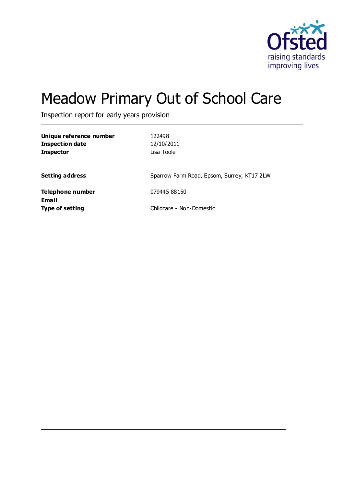

# Meadow Primary Out of School Care

Inspection report for early years provision

| Unique reference number<br><b>Inspection date</b><br><b>Inspector</b> | 122498<br>12/10/2011<br>Lisa Toole         |
|-----------------------------------------------------------------------|--------------------------------------------|
| <b>Setting address</b>                                                | Sparrow Farm Road, Epsom, Surrey, KT17 2LW |
| Telephone number                                                      | 079445 88150                               |
| Email<br><b>Type of setting</b>                                       | Childcare - Non-Domestic                   |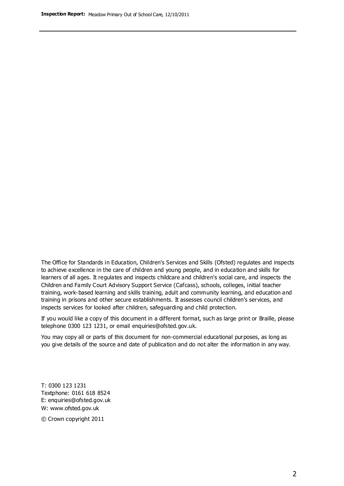The Office for Standards in Education, Children's Services and Skills (Ofsted) regulates and inspects to achieve excellence in the care of children and young people, and in education and skills for learners of all ages. It regulates and inspects childcare and children's social care, and inspects the Children and Family Court Advisory Support Service (Cafcass), schools, colleges, initial teacher training, work-based learning and skills training, adult and community learning, and education and training in prisons and other secure establishments. It assesses council children's services, and inspects services for looked after children, safeguarding and child protection.

If you would like a copy of this document in a different format, such as large print or Braille, please telephone 0300 123 1231, or email enquiries@ofsted.gov.uk.

You may copy all or parts of this document for non-commercial educational purposes, as long as you give details of the source and date of publication and do not alter the information in any way.

T: 0300 123 1231 Textphone: 0161 618 8524 E: enquiries@ofsted.gov.uk W: [www.ofsted.gov.uk](http://www.ofsted.gov.uk/)

© Crown copyright 2011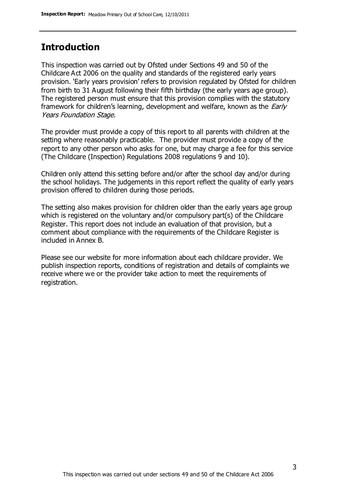### **Introduction**

This inspection was carried out by Ofsted under Sections 49 and 50 of the Childcare Act 2006 on the quality and standards of the registered early years provision. 'Early years provision' refers to provision regulated by Ofsted for children from birth to 31 August following their fifth birthday (the early years age group). The registered person must ensure that this provision complies with the statutory framework for children's learning, development and welfare, known as the *Early* Years Foundation Stage.

The provider must provide a copy of this report to all parents with children at the setting where reasonably practicable. The provider must provide a copy of the report to any other person who asks for one, but may charge a fee for this service (The Childcare (Inspection) Regulations 2008 regulations 9 and 10).

Children only attend this setting before and/or after the school day and/or during the school holidays. The judgements in this report reflect the quality of early years provision offered to children during those periods.

The setting also makes provision for children older than the early years age group which is registered on the voluntary and/or compulsory part(s) of the Childcare Register. This report does not include an evaluation of that provision, but a comment about compliance with the requirements of the Childcare Register is included in Annex B.

Please see our website for more information about each childcare provider. We publish inspection reports, conditions of registration and details of complaints we receive where we or the provider take action to meet the requirements of registration.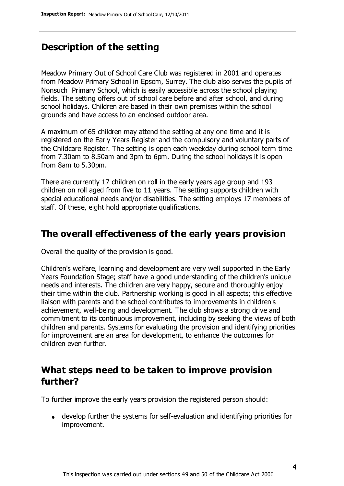### **Description of the setting**

Meadow Primary Out of School Care Club was registered in 2001 and operates from Meadow Primary School in Epsom, Surrey. The club also serves the pupils of Nonsuch Primary School, which is easily accessible across the school playing fields. The setting offers out of school care before and after school, and during school holidays. Children are based in their own premises within the school grounds and have access to an enclosed outdoor area.

A maximum of 65 children may attend the setting at any one time and it is registered on the Early Years Register and the compulsory and voluntary parts of the Childcare Register. The setting is open each weekday during school term time from 7.30am to 8.50am and 3pm to 6pm. During the school holidays it is open from 8am to 5.30pm.

There are currently 17 children on roll in the early years age group and 193 children on roll aged from five to 11 years. The setting supports children with special educational needs and/or disabilities. The setting employs 17 members of staff. Of these, eight hold appropriate qualifications.

### **The overall effectiveness of the early years provision**

Overall the quality of the provision is good.

Children's welfare, learning and development are very well supported in the Early Years Foundation Stage; staff have a good understanding of the children's unique needs and interests. The children are very happy, secure and thoroughly enjoy their time within the club. Partnership working is good in all aspects; this effective liaison with parents and the school contributes to improvements in children's achievement, well-being and development. The club shows a strong drive and commitment to its continuous improvement, including by seeking the views of both children and parents. Systems for evaluating the provision and identifying priorities for improvement are an area for development, to enhance the outcomes for children even further.

### **What steps need to be taken to improve provision further?**

To further improve the early years provision the registered person should:

develop further the systems for self-evaluation and identifying priorities for improvement.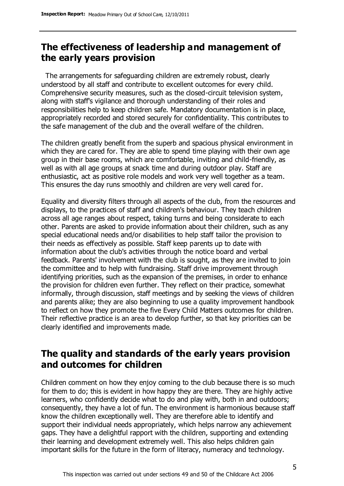### **The effectiveness of leadership and management of the early years provision**

 The arrangements for safeguarding children are extremely robust, clearly understood by all staff and contribute to excellent outcomes for every child. Comprehensive security measures, such as the closed-circuit television system, along with staff's vigilance and thorough understanding of their roles and responsibilities help to keep children safe. Mandatory documentation is in place, appropriately recorded and stored securely for confidentiality. This contributes to the safe management of the club and the overall welfare of the children.

The children greatly benefit from the superb and spacious physical environment in which they are cared for. They are able to spend time playing with their own age group in their base rooms, which are comfortable, inviting and child-friendly, as well as with all age groups at snack time and during outdoor play. Staff are enthusiastic, act as positive role models and work very well together as a team. This ensures the day runs smoothly and children are very well cared for.

Equality and diversity filters through all aspects of the club, from the resources and displays, to the practices of staff and children's behaviour. They teach children across all age ranges about respect, taking turns and being considerate to each other. Parents are asked to provide information about their children, such as any special educational needs and/or disabilities to help staff tailor the provision to their needs as effectively as possible. Staff keep parents up to date with information about the club's activities through the notice board and verbal feedback. Parents' involvement with the club is sought, as they are invited to join the committee and to help with fundraising. Staff drive improvement through identifying priorities, such as the expansion of the premises, in order to enhance the provision for children even further. They reflect on their practice, somewhat informally, through discussion, staff meetings and by seeking the views of children and parents alike; they are also beginning to use a quality improvement handbook to reflect on how they promote the five Every Child Matters outcomes for children. Their reflective practice is an area to develop further, so that key priorities can be clearly identified and improvements made.

### **The quality and standards of the early years provision and outcomes for children**

Children comment on how they enjoy coming to the club because there is so much for them to do; this is evident in how happy they are there. They are highly active learners, who confidently decide what to do and play with, both in and outdoors; consequently, they have a lot of fun. The environment is harmonious because staff know the children exceptionally well. They are therefore able to identify and support their individual needs appropriately, which helps narrow any achievement gaps. They have a delightful rapport with the children, supporting and extending their learning and development extremely well. This also helps children gain important skills for the future in the form of literacy, numeracy and technology.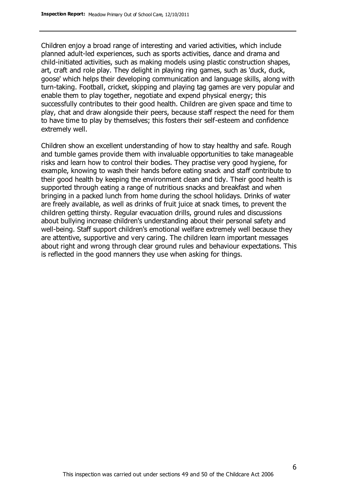Children enjoy a broad range of interesting and varied activities, which include planned adult-led experiences, such as sports activities, dance and drama and child-initiated activities, such as making models using plastic construction shapes, art, craft and role play. They delight in playing ring games, such as 'duck, duck, goose' which helps their developing communication and language skills, along with turn-taking. Football, cricket, skipping and playing tag games are very popular and enable them to play together, negotiate and expend physical energy; this successfully contributes to their good health. Children are given space and time to play, chat and draw alongside their peers, because staff respect the need for them to have time to play by themselves; this fosters their self-esteem and confidence extremely well.

Children show an excellent understanding of how to stay healthy and safe. Rough and tumble games provide them with invaluable opportunities to take manageable risks and learn how to control their bodies. They practise very good hygiene, for example, knowing to wash their hands before eating snack and staff contribute to their good health by keeping the environment clean and tidy. Their good health is supported through eating a range of nutritious snacks and breakfast and when bringing in a packed lunch from home during the school holidays. Drinks of water are freely available, as well as drinks of fruit juice at snack times, to prevent the children getting thirsty. Regular evacuation drills, ground rules and discussions about bullying increase children's understanding about their personal safety and well-being. Staff support children's emotional welfare extremely well because they are attentive, supportive and very caring. The children learn important messages about right and wrong through clear ground rules and behaviour expectations. This is reflected in the good manners they use when asking for things.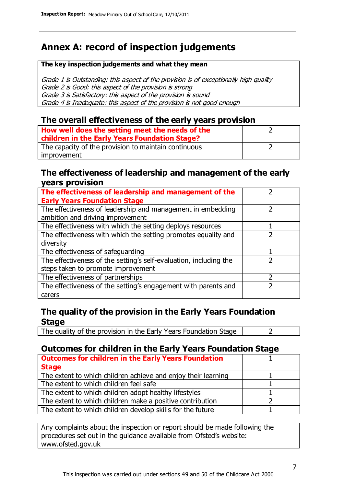### **Annex A: record of inspection judgements**

#### **The key inspection judgements and what they mean**

Grade 1 is Outstanding: this aspect of the provision is of exceptionally high quality Grade 2 is Good: this aspect of the provision is strong Grade 3 is Satisfactory: this aspect of the provision is sound Grade 4 is Inadequate: this aspect of the provision is not good enough

### **The overall effectiveness of the early years provision**

| How well does the setting meet the needs of the<br>children in the Early Years Foundation Stage? |  |
|--------------------------------------------------------------------------------------------------|--|
| The capacity of the provision to maintain continuous                                             |  |
| improvement                                                                                      |  |

#### **The effectiveness of leadership and management of the early years provision**

| The effectiveness of leadership and management of the             |  |
|-------------------------------------------------------------------|--|
| <b>Early Years Foundation Stage</b>                               |  |
| The effectiveness of leadership and management in embedding       |  |
| ambition and driving improvement                                  |  |
| The effectiveness with which the setting deploys resources        |  |
| The effectiveness with which the setting promotes equality and    |  |
| diversity                                                         |  |
| The effectiveness of safeguarding                                 |  |
| The effectiveness of the setting's self-evaluation, including the |  |
| steps taken to promote improvement                                |  |
| The effectiveness of partnerships                                 |  |
| The effectiveness of the setting's engagement with parents and    |  |
| carers                                                            |  |

### **The quality of the provision in the Early Years Foundation Stage**

The quality of the provision in the Early Years Foundation Stage  $\vert$  2

### **Outcomes for children in the Early Years Foundation Stage**

| <b>Outcomes for children in the Early Years Foundation</b>    |  |
|---------------------------------------------------------------|--|
| <b>Stage</b>                                                  |  |
| The extent to which children achieve and enjoy their learning |  |
| The extent to which children feel safe                        |  |
| The extent to which children adopt healthy lifestyles         |  |
| The extent to which children make a positive contribution     |  |
| The extent to which children develop skills for the future    |  |

Any complaints about the inspection or report should be made following the procedures set out in the guidance available from Ofsted's website: www.ofsted.gov.uk